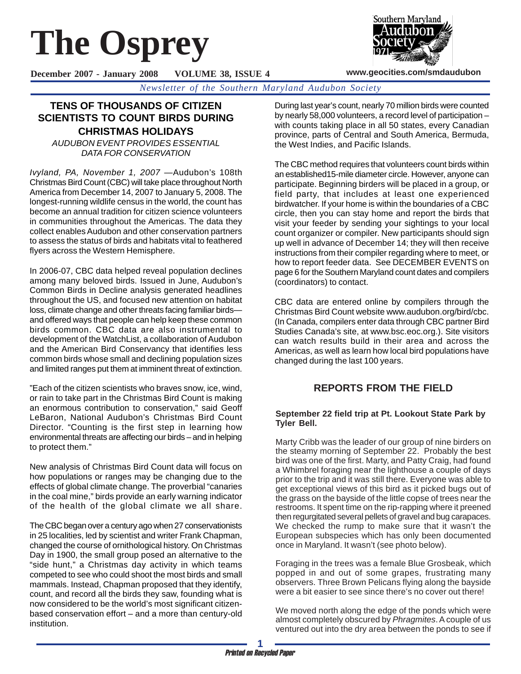# **The Osprey**

**December 2007 - January 2008 VOLUME 38, ISSUE 4**

*Newsletter of the Southern Maryland Audubon Society*

# **TENS OF THOUSANDS OF CITIZEN SCIENTISTS TO COUNT BIRDS DURING CHRISTMAS HOLIDAYS**

*AUDUBON EVENT PROVIDES ESSENTIAL DATA FOR CONSERVATION*

*Ivyland, PA, November 1, 2007* —Audubon's 108th Christmas Bird Count (CBC) will take place throughout North America from December 14, 2007 to January 5, 2008. The longest-running wildlife census in the world, the count has become an annual tradition for citizen science volunteers in communities throughout the Americas. The data they collect enables Audubon and other conservation partners to assess the status of birds and habitats vital to feathered flyers across the Western Hemisphere.

In 2006-07, CBC data helped reveal population declines among many beloved birds. Issued in June, Audubon's Common Birds in Decline analysis generated headlines throughout the US, and focused new attention on habitat loss, climate change and other threats facing familiar birds and offered ways that people can help keep these common birds common. CBC data are also instrumental to development of the WatchList, a collaboration of Audubon and the American Bird Conservancy that identifies less common birds whose small and declining population sizes and limited ranges put them at imminent threat of extinction.

"Each of the citizen scientists who braves snow, ice, wind, or rain to take part in the Christmas Bird Count is making an enormous contribution to conservation," said Geoff LeBaron, National Audubon's Christmas Bird Count Director. "Counting is the first step in learning how environmental threats are affecting our birds – and in helping to protect them."

New analysis of Christmas Bird Count data will focus on how populations or ranges may be changing due to the effects of global climate change. The proverbial "canaries in the coal mine," birds provide an early warning indicator of the health of the global climate we all share.

The CBC began over a century ago when 27 conservationists in 25 localities, led by scientist and writer Frank Chapman, changed the course of ornithological history. On Christmas Day in 1900, the small group posed an alternative to the "side hunt," a Christmas day activity in which teams competed to see who could shoot the most birds and small mammals. Instead, Chapman proposed that they identify, count, and record all the birds they saw, founding what is now considered to be the world's most significant citizenbased conservation effort – and a more than century-old institution.

During last year's count, nearly 70 million birds were counted by nearly 58,000 volunteers, a record level of participation – with counts taking place in all 50 states, every Canadian province, parts of Central and South America, Bermuda, the West Indies, and Pacific Islands.

The CBC method requires that volunteers count birds within an established15-mile diameter circle. However, anyone can participate. Beginning birders will be placed in a group, or field party, that includes at least one experienced birdwatcher. If your home is within the boundaries of a CBC circle, then you can stay home and report the birds that visit your feeder by sending your sightings to your local count organizer or compiler. New participants should sign up well in advance of December 14; they will then receive instructions from their compiler regarding where to meet, or how to report feeder data. See DECEMBER EVENTS on page 6 for the Southern Maryland count dates and compilers (coordinators) to contact.

CBC data are entered online by compilers through the Christmas Bird Count website www.audubon.org/bird/cbc. (In Canada, compilers enter data through CBC partner Bird Studies Canada's site, at www.bsc.eoc.org.). Site visitors can watch results build in their area and across the Americas, as well as learn how local bird populations have changed during the last 100 years.

# **REPORTS FROM THE FIELD**

#### **September 22 field trip at Pt. Lookout State Park by Tyler Bell.**

Marty Cribb was the leader of our group of nine birders on the steamy morning of September 22. Probably the best bird was one of the first. Marty, and Patty Craig, had found a Whimbrel foraging near the lighthouse a couple of days prior to the trip and it was still there. Everyone was able to get exceptional views of this bird as it picked bugs out of the grass on the bayside of the little copse of trees near the restrooms. It spent time on the rip-rapping where it preened then regurgitated several pellets of gravel and bug carapaces. We checked the rump to make sure that it wasn't the European subspecies which has only been documented once in Maryland. It wasn't (see photo below).

Foraging in the trees was a female Blue Grosbeak, which popped in and out of some grapes, frustrating many observers. Three Brown Pelicans flying along the bayside were a bit easier to see since there's no cover out there!

We moved north along the edge of the ponds which were almost completely obscured by *Phragmites*. A couple of us ventured out into the dry area between the ponds to see if



**www.geocities.com/smdaudubon**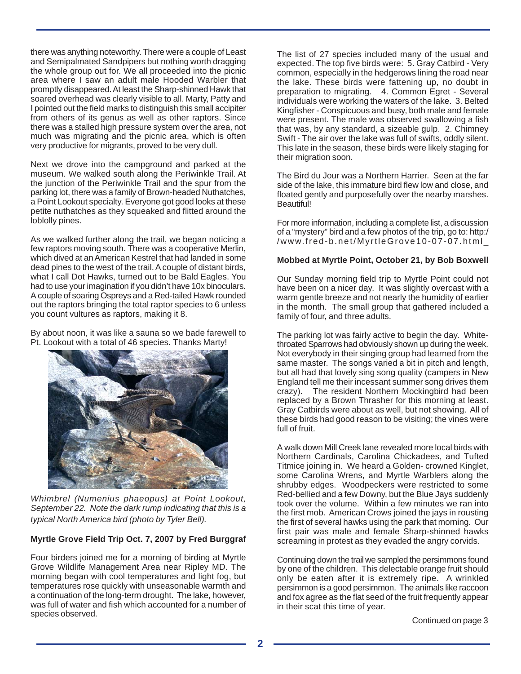there was anything noteworthy. There were a couple of Least and Semipalmated Sandpipers but nothing worth dragging the whole group out for. We all proceeded into the picnic area where I saw an adult male Hooded Warbler that promptly disappeared. At least the Sharp-shinned Hawk that soared overhead was clearly visible to all. Marty, Patty and I pointed out the field marks to distinguish this small accipiter from others of its genus as well as other raptors. Since there was a stalled high pressure system over the area, not much was migrating and the picnic area, which is often very productive for migrants, proved to be very dull.

Next we drove into the campground and parked at the museum. We walked south along the Periwinkle Trail. At the junction of the Periwinkle Trail and the spur from the parking lot, there was a family of Brown-headed Nuthatches, a Point Lookout specialty. Everyone got good looks at these petite nuthatches as they squeaked and flitted around the loblolly pines.

As we walked further along the trail, we began noticing a few raptors moving south. There was a cooperative Merlin, which dived at an American Kestrel that had landed in some dead pines to the west of the trail. A couple of distant birds, what I call Dot Hawks, turned out to be Bald Eagles. You had to use your imagination if you didn't have 10x binoculars. A couple of soaring Ospreys and a Red-tailed Hawk rounded out the raptors bringing the total raptor species to 6 unless you count vultures as raptors, making it 8.

By about noon, it was like a sauna so we bade farewell to Pt. Lookout with a total of 46 species. Thanks Marty!



*Whimbrel (Numenius phaeopus) at Point Lookout, September 22. Note the dark rump indicating that this is a typical North America bird (photo by Tyler Bell).*

#### **Myrtle Grove Field Trip Oct. 7, 2007 by Fred Burggraf**

Four birders joined me for a morning of birding at Myrtle Grove Wildlife Management Area near Ripley MD. The morning began with cool temperatures and light fog, but temperatures rose quickly with unseasonable warmth and a continuation of the long-term drought. The lake, however, was full of water and fish which accounted for a number of species observed.

The list of 27 species included many of the usual and expected. The top five birds were: 5. Gray Catbird - Very common, especially in the hedgerows lining the road near the lake. These birds were fattening up, no doubt in preparation to migrating. 4. Common Egret - Several individuals were working the waters of the lake. 3. Belted Kingfisher - Conspicuous and busy, both male and female were present. The male was observed swallowing a fish that was, by any standard, a sizeable gulp. 2. Chimney Swift - The air over the lake was full of swifts, oddly silent. This late in the season, these birds were likely staging for their migration soon.

The Bird du Jour was a Northern Harrier. Seen at the far side of the lake, this immature bird flew low and close, and floated gently and purposefully over the nearby marshes. Beautiful!

For more information, including a complete list, a discussion of a "mystery" bird and a few photos of the trip, go to: http:/ /www.fred-b.net/MyrtleGrove10-07-07.html\_

#### **Mobbed at Myrtle Point, October 21, by Bob Boxwell**

Our Sunday morning field trip to Myrtle Point could not have been on a nicer day. It was slightly overcast with a warm gentle breeze and not nearly the humidity of earlier in the month. The small group that gathered included a family of four, and three adults.

The parking lot was fairly active to begin the day. Whitethroated Sparrows had obviously shown up during the week. Not everybody in their singing group had learned from the same master. The songs varied a bit in pitch and length, but all had that lovely sing song quality (campers in New England tell me their incessant summer song drives them crazy). The resident Northern Mockingbird had been replaced by a Brown Thrasher for this morning at least. Gray Catbirds were about as well, but not showing. All of these birds had good reason to be visiting; the vines were full of fruit.

A walk down Mill Creek lane revealed more local birds with Northern Cardinals, Carolina Chickadees, and Tufted Titmice joining in. We heard a Golden- crowned Kinglet, some Carolina Wrens, and Myrtle Warblers along the shrubby edges. Woodpeckers were restricted to some Red-bellied and a few Downy, but the Blue Jays suddenly took over the volume. Within a few minutes we ran into the first mob. American Crows joined the jays in rousting the first of several hawks using the park that morning. Our first pair was male and female Sharp-shinned hawks screaming in protest as they evaded the angry corvids.

Continuing down the trail we sampled the persimmons found by one of the children. This delectable orange fruit should only be eaten after it is extremely ripe. A wrinkled persimmon is a good persimmon. The animals like raccoon and fox agree as the flat seed of the fruit frequently appear in their scat this time of year.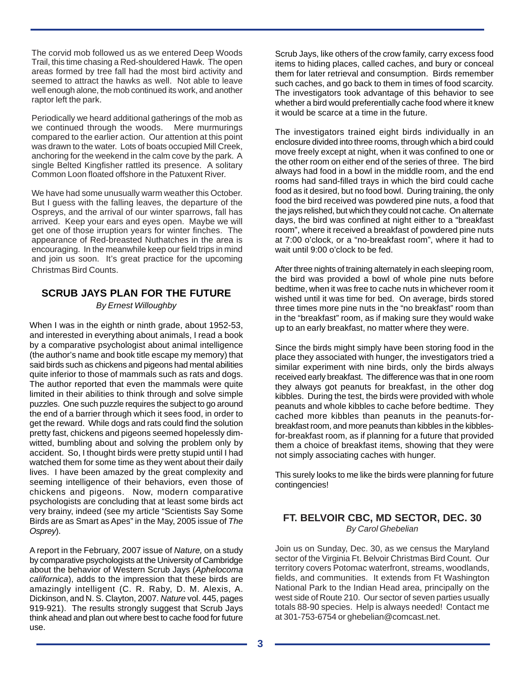The corvid mob followed us as we entered Deep Woods Trail, this time chasing a Red-shouldered Hawk. The open areas formed by tree fall had the most bird activity and seemed to attract the hawks as well. Not able to leave well enough alone, the mob continued its work, and another raptor left the park.

Periodically we heard additional gatherings of the mob as we continued through the woods. Mere murmurings compared to the earlier action. Our attention at this point was drawn to the water. Lots of boats occupied Mill Creek, anchoring for the weekend in the calm cove by the park. A single Belted Kingfisher rattled its presence. A solitary Common Loon floated offshore in the Patuxent River.

We have had some unusually warm weather this October. But I guess with the falling leaves, the departure of the Ospreys, and the arrival of our winter sparrows, fall has arrived. Keep your ears and eyes open. Maybe we will get one of those irruption years for winter finches. The appearance of Red-breasted Nuthatches in the area is encouraging. In the meanwhile keep our field trips in mind and join us soon. It's great practice for the upcoming Christmas Bird Counts.

#### **SCRUB JAYS PLAN FOR THE FUTURE**

*By Ernest Willoughby*

When I was in the eighth or ninth grade, about 1952-53, and interested in everything about animals, I read a book by a comparative psychologist about animal intelligence (the author's name and book title escape my memory) that said birds such as chickens and pigeons had mental abilities quite inferior to those of mammals such as rats and dogs. The author reported that even the mammals were quite limited in their abilities to think through and solve simple puzzles. One such puzzle requires the subject to go around the end of a barrier through which it sees food, in order to get the reward. While dogs and rats could find the solution pretty fast, chickens and pigeons seemed hopelessly dimwitted, bumbling about and solving the problem only by accident. So, I thought birds were pretty stupid until I had watched them for some time as they went about their daily lives. I have been amazed by the great complexity and seeming intelligence of their behaviors, even those of chickens and pigeons. Now, modern comparative psychologists are concluding that at least some birds act very brainy, indeed (see my article "Scientists Say Some Birds are as Smart as Apes" in the May, 2005 issue of *The Osprey*).

A report in the February, 2007 issue of *Nature,* on a study by comparative psychologists at the University of Cambridge about the behavior of Western Scrub Jays (*Aphelocoma californica*), adds to the impression that these birds are amazingly intelligent (C. R. Raby, D. M. Alexis, A. Dickinson, and N. S. Clayton, 2007. *Nature* vol. 445, pages 919-921). The results strongly suggest that Scrub Jays think ahead and plan out where best to cache food for future use.

Scrub Jays, like others of the crow family, carry excess food items to hiding places, called caches, and bury or conceal them for later retrieval and consumption. Birds remember such caches, and go back to them in times of food scarcity. The investigators took advantage of this behavior to see whether a bird would preferentially cache food where it knew it would be scarce at a time in the future.

The investigators trained eight birds individually in an enclosure divided into three rooms, through which a bird could move freely except at night, when it was confined to one or the other room on either end of the series of three. The bird always had food in a bowl in the middle room, and the end rooms had sand-filled trays in which the bird could cache food as it desired, but no food bowl. During training, the only food the bird received was powdered pine nuts, a food that the jays relished, but which they could not cache. On alternate days, the bird was confined at night either to a "breakfast room", where it received a breakfast of powdered pine nuts at 7:00 o'clock, or a "no-breakfast room", where it had to wait until 9:00 o'clock to be fed.

After three nights of training alternately in each sleeping room, the bird was provided a bowl of whole pine nuts before bedtime, when it was free to cache nuts in whichever room it wished until it was time for bed. On average, birds stored three times more pine nuts in the "no breakfast" room than in the "breakfast" room, as if making sure they would wake up to an early breakfast, no matter where they were.

Since the birds might simply have been storing food in the place they associated with hunger, the investigators tried a similar experiment with nine birds, only the birds always received early breakfast. The difference was that in one room they always got peanuts for breakfast, in the other dog kibbles. During the test, the birds were provided with whole peanuts and whole kibbles to cache before bedtime. They cached more kibbles than peanuts in the peanuts-forbreakfast room, and more peanuts than kibbles in the kibblesfor-breakfast room, as if planning for a future that provided them a choice of breakfast items, showing that they were not simply associating caches with hunger.

This surely looks to me like the birds were planning for future contingencies!

#### **FT. BELVOIR CBC, MD SECTOR, DEC. 30** *By Carol Ghebelian*

Join us on Sunday, Dec. 30, as we census the Maryland sector of the Virginia Ft. Belvoir Christmas Bird Count. Our territory covers Potomac waterfront, streams, woodlands, fields, and communities. It extends from Ft Washington National Park to the Indian Head area, principally on the west side of Route 210. Our sector of seven parties usually totals 88-90 species. Help is always needed! Contact me at 301-753-6754 or ghebelian@comcast.net.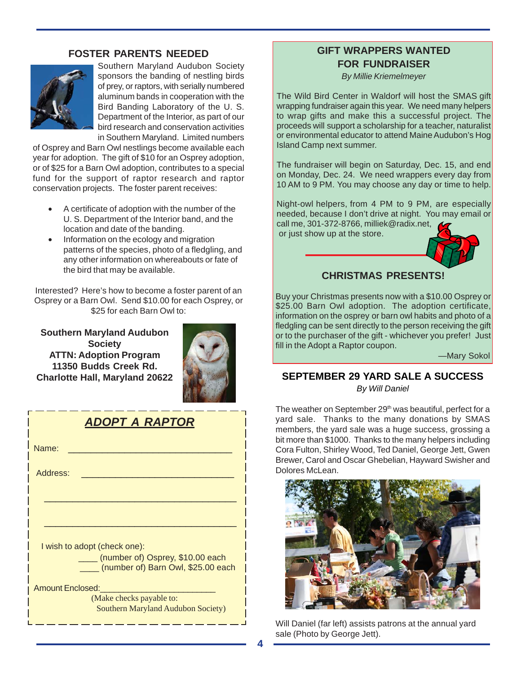## **FOSTER PARENTS NEEDED**



Southern Maryland Audubon Society sponsors the banding of nestling birds of prey, or raptors, with serially numbered aluminum bands in cooperation with the Bird Banding Laboratory of the U. S. Department of the Interior, as part of our bird research and conservation activities in Southern Maryland. Limited numbers

of Osprey and Barn Owl nestlings become available each year for adoption. The gift of \$10 for an Osprey adoption, or of \$25 for a Barn Owl adoption, contributes to a special fund for the support of raptor research and raptor conservation projects. The foster parent receives:

- A certificate of adoption with the number of the U. S. Department of the Interior band, and the location and date of the banding.
- Information on the ecology and migration patterns of the species, photo of a fledgling, and any other information on whereabouts or fate of the bird that may be available.

Interested? Here's how to become a foster parent of an Osprey or a Barn Owl. Send \$10.00 for each Osprey, or \$25 for each Barn Owl to:

**Southern Maryland Audubon Society ATTN: Adoption Program 11350 Budds Creek Rd. Charlotte Hall, Maryland 20622**



| <b>ADOPT A RAPTOR</b>                                                  |  |  |  |  |  |  |
|------------------------------------------------------------------------|--|--|--|--|--|--|
| Name:                                                                  |  |  |  |  |  |  |
| Address:                                                               |  |  |  |  |  |  |
|                                                                        |  |  |  |  |  |  |
|                                                                        |  |  |  |  |  |  |
| I wish to adopt (check one):                                           |  |  |  |  |  |  |
| (number of) Osprey, \$10.00 each<br>(number of) Barn Owl, \$25.00 each |  |  |  |  |  |  |
| <b>Amount Enclosed:</b>                                                |  |  |  |  |  |  |
| (Make checks payable to:<br><b>Southern Maryland Audubon Society)</b>  |  |  |  |  |  |  |

# **GIFT WRAPPERS WANTED FOR FUNDRAISER**

*By Millie Kriemelmeyer*

The Wild Bird Center in Waldorf will host the SMAS gift wrapping fundraiser again this year. We need many helpers to wrap gifts and make this a successful project. The proceeds will support a scholarship for a teacher, naturalist or environmental educator to attend Maine Audubon's Hog Island Camp next summer.

The fundraiser will begin on Saturday, Dec. 15, and end on Monday, Dec. 24. We need wrappers every day from 10 AM to 9 PM. You may choose any day or time to help.

Night-owl helpers, from 4 PM to 9 PM, are especially needed, because I don't drive at night. You may email or call me, 301-372-8766, milliek@radix.net, or just show up at the store.



## **CHRISTMAS PRESENTS!**

Buy your Christmas presents now with a \$10.00 Osprey or \$25.00 Barn Owl adoption. The adoption certificate, information on the osprey or barn owl habits and photo of a fledgling can be sent directly to the person receiving the gift or to the purchaser of the gift - whichever you prefer! Just fill in the Adopt a Raptor coupon.

—Mary Sokol

## **SEPTEMBER 29 YARD SALE A SUCCESS** *By Will Daniel*

The weather on September 29<sup>th</sup> was beautiful, perfect for a yard sale. Thanks to the many donations by SMAS members, the yard sale was a huge success, grossing a bit more than \$1000. Thanks to the many helpers including Cora Fulton, Shirley Wood, Ted Daniel, George Jett, Gwen Brewer, Carol and Oscar Ghebelian, Hayward Swisher and Dolores McLean.



Will Daniel (far left) assists patrons at the annual yard sale (Photo by George Jett).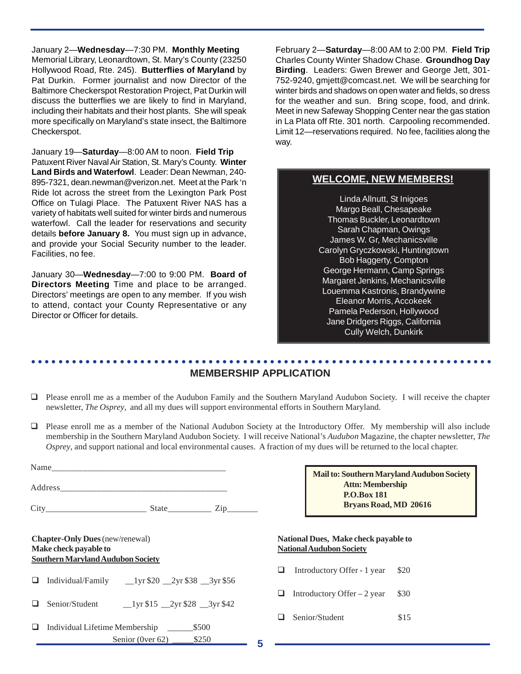January 2—**Wednesday**—7:30 PM. **Monthly Meeting** Memorial Library, Leonardtown, St. Mary's County (23250 Hollywood Road, Rte. 245). **Butterflies of Maryland** by Pat Durkin. Former journalist and now Director of the Baltimore Checkerspot Restoration Project, Pat Durkin will discuss the butterflies we are likely to find in Maryland, including their habitats and their host plants. She will speak more specifically on Maryland's state insect, the Baltimore Checkerspot.

January 19—**Saturday**—8:00 AM to noon. **Field Trip** Patuxent River Naval Air Station, St. Mary's County. **Winter Land Birds and Waterfowl**. Leader: Dean Newman, 240- 895-7321, dean.newman@verizon.net. Meet at the Park 'n Ride lot across the street from the Lexington Park Post Office on Tulagi Place. The Patuxent River NAS has a variety of habitats well suited for winter birds and numerous waterfowl. Call the leader for reservations and security details **before January 8.** You must sign up in advance, and provide your Social Security number to the leader. Facilities, no fee.

January 30—**Wednesday**—7:00 to 9:00 PM. **Board of Directors Meeting** Time and place to be arranged. Directors' meetings are open to any member. If you wish to attend, contact your County Representative or any Director or Officer for details.

February 2—**Saturday**—8:00 AM to 2:00 PM. **Field Trip** Charles County Winter Shadow Chase. **Groundhog Day Birding**. Leaders: Gwen Brewer and George Jett, 301- 752-9240, gmjett@comcast.net. We will be searching for winter birds and shadows on open water and fields, so dress for the weather and sun. Bring scope, food, and drink. Meet in new Safeway Shopping Center near the gas station in La Plata off Rte. 301 north. Carpooling recommended. Limit 12—reservations required. No fee, facilities along the way.

#### **WELCOME, NEW MEMBERS!**

Linda Allnutt, St Inigoes Margo Beall, Chesapeake Thomas Buckler, Leonardtown Sarah Chapman, Owings James W. Gr, Mechanicsville Carolyn Gryczkowski, Huntingtown Bob Haggerty, Compton George Hermann, Camp Springs Margaret Jenkins, Mechanicsville Louemma Kastronis, Brandywine Eleanor Morris, Accokeek Pamela Pederson, Hollywood Jane Dridgers Riggs, California Cully Welch, Dunkirk

**Audubon Society** 

#### ○○○○○○○○○○○○○○○○○○○○○○○○○○○○○○○○○○○○○○○○○○○○ ○○○○○○○○○○○○○○○○○○○○○○○○ **MEMBERSHIP APPLICATION**

- Please enroll me as a member of the Audubon Family and the Southern Maryland Audubon Society. I will receive the chapter newsletter, *The Osprey*, and all my dues will support environmental efforts in Southern Maryland.
- Please enroll me as a member of the National Audubon Society at the Introductory Offer. My membership will also include membership in the Southern Maryland Audubon Society. I will receive National's *Audubon* Magazine, the chapter newsletter, *The Osprey*, and support national and local environmental causes. A fraction of my dues will be returned to the local chapter.

|                                                                 |                                                                                    |   |                                                                         | <b>Mail to: Southern Maryland Audul</b> |                                               |  |
|-----------------------------------------------------------------|------------------------------------------------------------------------------------|---|-------------------------------------------------------------------------|-----------------------------------------|-----------------------------------------------|--|
|                                                                 |                                                                                    |   |                                                                         |                                         | <b>Attn: Membership</b><br><b>P.O.Box 181</b> |  |
|                                                                 |                                                                                    |   |                                                                         | <b>Bryans Road, MD 20616</b>            |                                               |  |
| <b>Chapter-Only Dues</b> (new/renewal)<br>Make check payable to |                                                                                    |   | National Dues, Make check payable to<br><b>National Audubon Society</b> |                                         |                                               |  |
| ப                                                               | <b>Southern Maryland Audubon Society</b>                                           |   | ப                                                                       | Introductory Offer - 1 year             | \$20                                          |  |
| ш                                                               | $1 \text{yr } $15 \quad 2 \text{yr } $28 \quad 3 \text{yr } $42$<br>Senior/Student |   |                                                                         | Introductory Offer $-2$ year            | \$30                                          |  |
| ப                                                               | \$500<br>Individual Lifetime Membership                                            |   |                                                                         | Senior/Student                          | \$15                                          |  |
|                                                                 | Senior (0ver 62)<br>\$250                                                          | 5 |                                                                         |                                         |                                               |  |